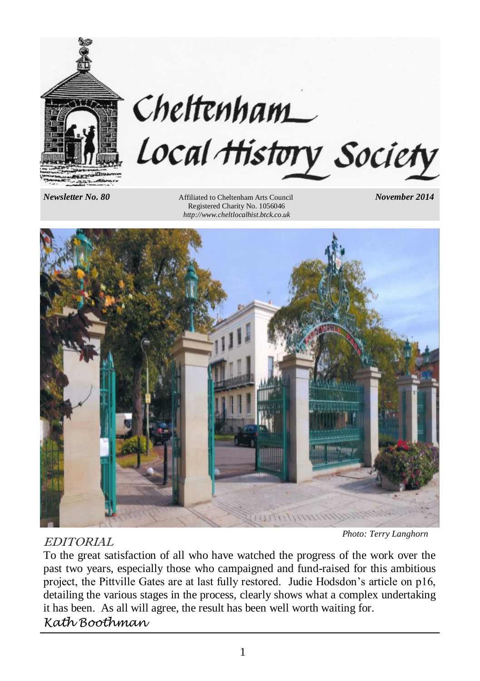

# Cheltenham Local History Society

*Newsletter No. 80* **<b>Affiliated to Cheltenham Arts Council** *November 2014*  Registered Charity No. 1056046 *http://www.cheltlocalhist.btck.co.uk*



# EDITORIAL

*Photo: Terry Langhorn*

To the great satisfaction of all who have watched the progress of the work over the past two years, especially those who campaigned and fund-raised for this ambitious project, the Pittville Gates are at last fully restored. Judie Hodsdon's article on p16, detailing the various stages in the process, clearly shows what a complex undertaking it has been. As all will agree, the result has been well worth waiting for. *Kath Boothman*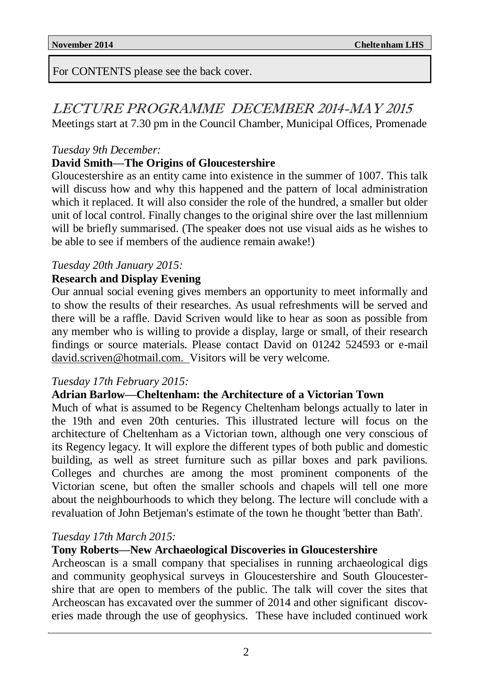For CONTENTS please see the back cover.

LECTURE PROGRAMME DECEMBER 2014-MAY 2015 Meetings start at 7.30 pm in the Council Chamber, Municipal Offices, Promenade

### *Tuesday 9th December:*

# **David Smith—The Origins of Gloucestershire**

Gloucestershire as an entity came into existence in the summer of 1007. This talk will discuss how and why this happened and the pattern of local administration which it replaced. It will also consider the role of the hundred, a smaller but older unit of local control. Finally changes to the original shire over the last millennium will be briefly summarised. (The speaker does not use visual aids as he wishes to be able to see if members of the audience remain awake!)

# *Tuesday 20th January 2015:*

# **Research and Display Evening**

Our annual social evening gives members an opportunity to meet informally and to show the results of their researches. As usual refreshments will be served and there will be a raffle. David Scriven would like to hear as soon as possible from any member who is willing to provide a display, large or small, of their research findings or source materials. Please contact David on 01242 524593 or e-mail david.scriven@hotmail.com. Visitors will be very welcome.

### *Tuesday 17th February 2015:*

# **Adrian Barlow—Cheltenham: the Architecture of a Victorian Town**

Much of what is assumed to be Regency Cheltenham belongs actually to later in the 19th and even 20th centuries. This illustrated lecture will focus on the architecture of Cheltenham as a Victorian town, although one very conscious of its Regency legacy. It will explore the different types of both public and domestic building, as well as street furniture such as pillar boxes and park pavilions. Colleges and churches are among the most prominent components of the Victorian scene, but often the smaller schools and chapels will tell one more about the neighbourhoods to which they belong. The lecture will conclude with a revaluation of John Betjeman's estimate of the town he thought 'better than Bath'.

### *Tuesday 17th March 2015:*

# **Tony Roberts—New Archaeological Discoveries in Gloucestershire**

Archeoscan is a small company that specialises in running archaeological digs and community geophysical surveys in Gloucestershire and South Gloucestershire that are open to members of the public. The talk will cover the sites that Archeoscan has excavated over the summer of 2014 and other significant discoveries made through the use of geophysics. These have included continued work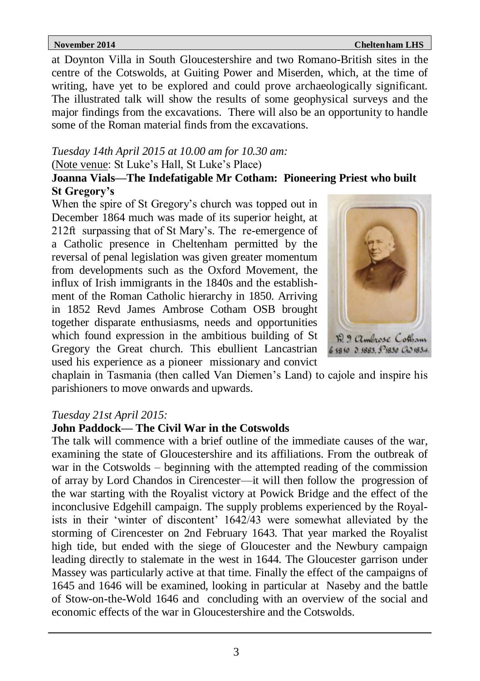### **November 2014 Chelte November 2014 Cheltennham LHS**

at Doynton Villa in South Gloucestershire and two Romano-British sites in the centre of the Cotswolds, at Guiting Power and Miserden, which, at the time of writing, have yet to be explored and could prove archaeologically significant. The illustrated talk will show the results of some geophysical surveys and the major findings from the excavations. There will also be an opportunity to handle some of the Roman material finds from the excavations.

### *Tuesday 14th April 2015 at 10.00 am for 10.30 am:*

### (Note venue: St Luke's Hall, St Luke's Place)

# **Joanna Vials—The Indefatigable Mr Cotham: Pioneering Priest who built St Gregory's**

When the spire of St Gregory's church was topped out in December 1864 much was made of its superior height, at 212ft surpassing that of St Mary's. The re-emergence of a Catholic presence in Cheltenham permitted by the reversal of penal legislation was given greater momentum from developments such as the Oxford Movement, the influx of Irish immigrants in the 1840s and the establishment of the Roman Catholic hierarchy in 1850. Arriving in 1852 Revd James Ambrose Cotham OSB brought together disparate enthusiasms, needs and opportunities which found expression in the ambitious building of St Gregory the Great church. This ebullient Lancastrian used his experience as a pioneer missionary and convict



chaplain in Tasmania (then called Van Diemen's Land) to cajole and inspire his parishioners to move onwards and upwards.

# *Tuesday 21st April 2015:*

# **John Paddock— The Civil War in the Cotswolds**

The talk will commence with a brief outline of the immediate causes of the war, examining the state of Gloucestershire and its affiliations. From the outbreak of war in the Cotswolds – beginning with the attempted reading of the commission of array by Lord Chandos in Cirencester—it will then follow the progression of the war starting with the Royalist victory at Powick Bridge and the effect of the inconclusive Edgehill campaign. The supply problems experienced by the Royalists in their 'winter of discontent' 1642/43 were somewhat alleviated by the storming of Cirencester on 2nd February 1643. That year marked the Royalist high tide, but ended with the siege of Gloucester and the Newbury campaign leading directly to stalemate in the west in 1644. The Gloucester garrison under Massey was particularly active at that time. Finally the effect of the campaigns of 1645 and 1646 will be examined, looking in particular at Naseby and the battle of Stow-on-the-Wold 1646 and concluding with an overview of the social and economic effects of the war in Gloucestershire and the Cotswolds.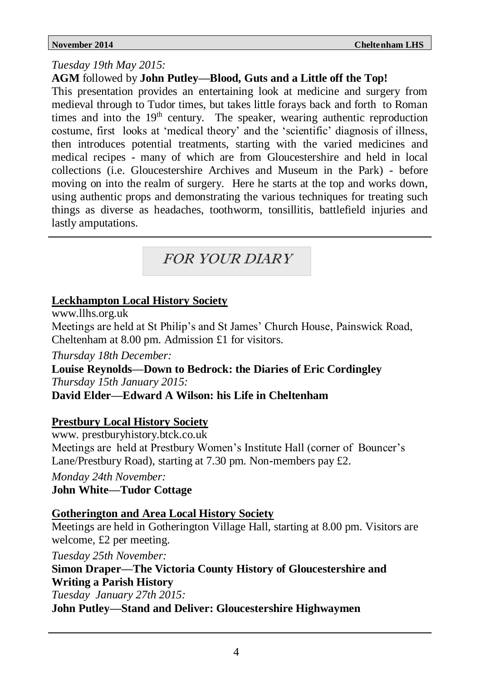# *Tuesday 19th May 2015:*

**AGM** followed by **John Putley—Blood, Guts and a Little off the Top!** 

This presentation provides an entertaining look at medicine and surgery from medieval through to Tudor times, but takes little forays back and forth to Roman times and into the  $19<sup>th</sup>$  century. The speaker, wearing authentic reproduction costume, first looks at 'medical theory' and the 'scientific' diagnosis of illness, then introduces potential treatments, starting with the varied medicines and medical recipes - many of which are from Gloucestershire and held in local collections (i.e. Gloucestershire Archives and Museum in the Park) - before moving on into the realm of surgery. Here he starts at the top and works down, using authentic props and demonstrating the various techniques for treating such things as diverse as headaches, toothworm, tonsillitis, battlefield injuries and lastly amputations.

# FOR YOUR DIARY FOR YOUR DIARY

# **Leckhampton Local History Society**

www.llhs.org.uk

Meetings are held at St Philip's and St James' Church House, Painswick Road, Cheltenham at 8.00 pm. Admission £1 for visitors.

*Thursday 18th December:*

**Louise Reynolds—Down to Bedrock: the Diaries of Eric Cordingley** *Thursday 15th January 2015:*

**David Elder—Edward A Wilson: his Life in Cheltenham**

# **Prestbury Local History Society**

www. prestburyhistory.btck.co.uk Meetings are held at Prestbury Women's Institute Hall (corner of Bouncer's Lane/Prestbury Road), starting at 7.30 pm. Non-members pay £2.

*Monday 24th November:*

**John White—Tudor Cottage**

# **Gotherington and Area Local History Society**

Meetings are held in Gotherington Village Hall, starting at 8.00 pm. Visitors are welcome, £2 per meeting.

*Tuesday 25th November:*

**Simon Draper—The Victoria County History of Gloucestershire and Writing a Parish History**

*Tuesday January 27th 2015:*

**John Putley—Stand and Deliver: Gloucestershire Highwaymen**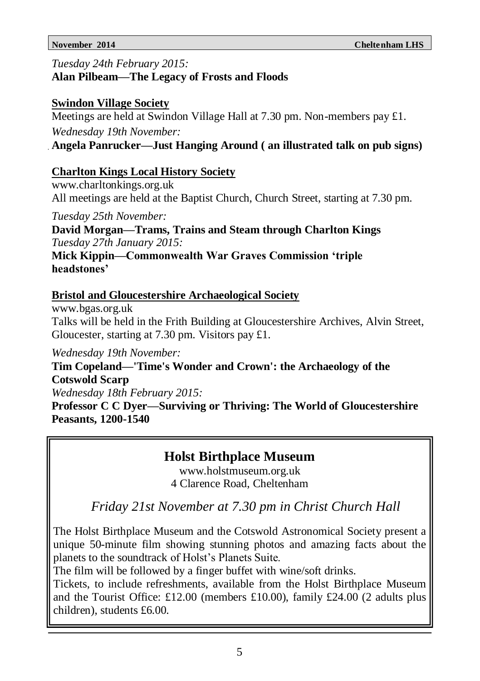*Tuesday 24th February 2015:*

## **Alan Pilbeam—The Legacy of Frosts and Floods**

# **Swindon Village Society**

Meetings are held at Swindon Village Hall at 7.30 pm. Non-members pay £1. *Wednesday 19th November:*

**Angela Panrucker—Just Hanging Around ( an illustrated talk on pub signs)**

# **Charlton Kings Local History Society**

www.charltonkings.org.uk All meetings are held at the Baptist Church, Church Street, starting at 7.30 pm.

*Tuesday 25th November:* **David Morgan—Trams, Trains and Steam through Charlton Kings** *Tuesday 27th January 2015:*

**Mick Kippin—Commonwealth War Graves Commission 'triple headstones'**

# **Bristol and Gloucestershire Archaeological Society**

www.bgas.org.uk Talks will be held in the Frith Building at Gloucestershire Archives, Alvin Street, Gloucester, starting at 7.30 pm. Visitors pay £1.

*Wednesday 19th November:*

**Tim Copeland—'Time's Wonder and Crown': the Archaeology of the Cotswold Scarp** 

*Wednesday 18th February 2015:*

**Professor C C Dyer—Surviving or Thriving: The World of Gloucestershire Peasants, 1200-1540** 

# **Holst Birthplace Museum**

www.holstmuseum.org.uk 4 Clarence Road, Cheltenham

 *Friday 21st November at 7.30 pm in Christ Church Hall*

The Holst Birthplace Museum and the Cotswold Astronomical Society present a unique 50-minute film showing stunning photos and amazing facts about the planets to the soundtrack of Holst's Planets Suite.

The film will be followed by a finger buffet with wine/soft drinks.

Tickets, to include refreshments, available from the Holst Birthplace Museum and the Tourist Office: £12.00 (members £10.00), family £24.00 (2 adults plus children), students £6.00.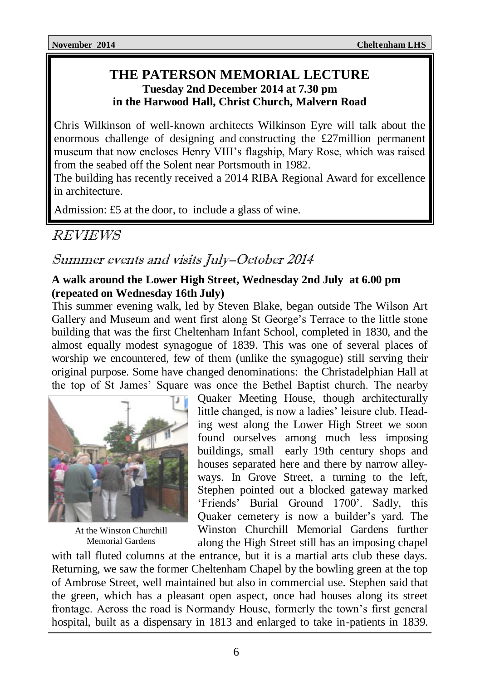# **THE PATERSON MEMORIAL LECTURE Tuesday 2nd December 2014 at 7.30 pm in the Harwood Hall, Christ Church, Malvern Road**

Chris Wilkinson of well-known architects Wilkinson Eyre will talk about the enormous challenge of designing and constructing the £27million permanent museum that now encloses Henry VIII's flagship, Mary Rose, which was raised from the seabed off the Solent near Portsmouth in 1982.

The building has recently received a 2014 RIBA Regional Award for excellence in architecture.

Admission: £5 at the door, to include a glass of wine.

# REVIEWS

# Summer events and visits July–October 2014

# **A walk around the Lower High Street, Wednesday 2nd July at 6.00 pm (repeated on Wednesday 16th July)**

This summer evening walk, led by Steven Blake, began outside The Wilson Art Gallery and Museum and went first along St George's Terrace to the little stone building that was the first Cheltenham Infant School, completed in 1830, and the almost equally modest synagogue of 1839. This was one of several places of worship we encountered, few of them (unlike the synagogue) still serving their original purpose. Some have changed denominations: the Christadelphian Hall at the top of St James' Square was once the Bethel Baptist church. The nearby



At the Winston Churchill Memorial Gardens

Quaker Meeting House, though architecturally little changed, is now a ladies' leisure club. Heading west along the Lower High Street we soon found ourselves among much less imposing buildings, small early 19th century shops and houses separated here and there by narrow alleyways. In Grove Street, a turning to the left, Stephen pointed out a blocked gateway marked 'Friends' Burial Ground 1700'. Sadly, this Quaker cemetery is now a builder's yard. The Winston Churchill Memorial Gardens further along the High Street still has an imposing chapel

with tall fluted columns at the entrance, but it is a martial arts club these days. Returning, we saw the former Cheltenham Chapel by the bowling green at the top of Ambrose Street, well maintained but also in commercial use. Stephen said that the green, which has a pleasant open aspect, once had houses along its street frontage. Across the road is Normandy House, formerly the town's first general hospital, built as a dispensary in 1813 and enlarged to take in-patients in 1839.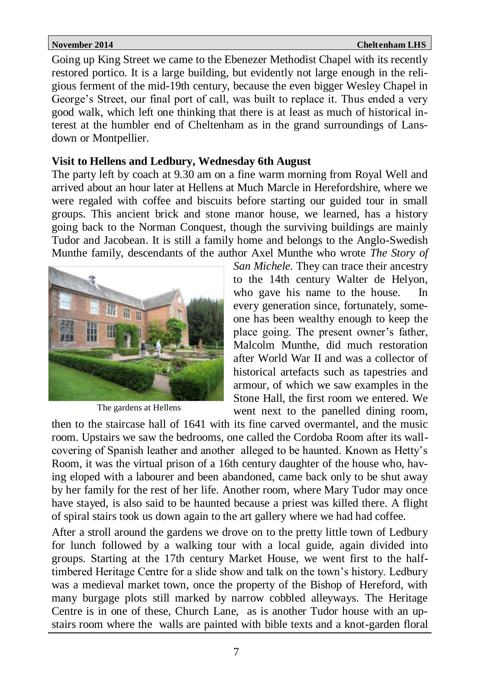Going up King Street we came to the Ebenezer Methodist Chapel with its recently restored portico. It is a large building, but evidently not large enough in the religious ferment of the mid-19th century, because the even bigger Wesley Chapel in George's Street, our final port of call, was built to replace it. Thus ended a very good walk, which left one thinking that there is at least as much of historical interest at the humbler end of Cheltenham as in the grand surroundings of Lansdown or Montpellier.

### **Visit to Hellens and Ledbury, Wednesday 6th August**

The party left by coach at 9.30 am on a fine warm morning from Royal Well and arrived about an hour later at Hellens at Much Marcle in Herefordshire, where we were regaled with coffee and biscuits before starting our guided tour in small groups. This ancient brick and stone manor house, we learned, has a history going back to the Norman Conquest, though the surviving buildings are mainly Tudor and Jacobean. It is still a family home and belongs to the Anglo-Swedish Munthe family, descendants of the author Axel Munthe who wrote *The Story of* 



The gardens at Hellens

*San Michele.* They can trace their ancestry to the 14th century Walter de Helyon, who gave his name to the house. In every generation since, fortunately, someone has been wealthy enough to keep the place going. The present owner's father, Malcolm Munthe, did much restoration after World War II and was a collector of historical artefacts such as tapestries and armour, of which we saw examples in the Stone Hall, the first room we entered. We went next to the panelled dining room,

then to the staircase hall of 1641 with its fine carved overmantel, and the music room. Upstairs we saw the bedrooms, one called the Cordoba Room after its wallcovering of Spanish leather and another alleged to be haunted. Known as Hetty's Room, it was the virtual prison of a 16th century daughter of the house who, having eloped with a labourer and been abandoned, came back only to be shut away by her family for the rest of her life. Another room, where Mary Tudor may once have stayed, is also said to be haunted because a priest was killed there. A flight of spiral stairs took us down again to the art gallery where we had had coffee.

After a stroll around the gardens we drove on to the pretty little town of Ledbury for lunch followed by a walking tour with a local guide, again divided into groups. Starting at the 17th century Market House, we went first to the halftimbered Heritage Centre for a slide show and talk on the town's history. Ledbury was a medieval market town, once the property of the Bishop of Hereford, with many burgage plots still marked by narrow cobbled alleyways. The Heritage Centre is in one of these, Church Lane, as is another Tudor house with an upstairs room where the walls are painted with bible texts and a knot-garden floral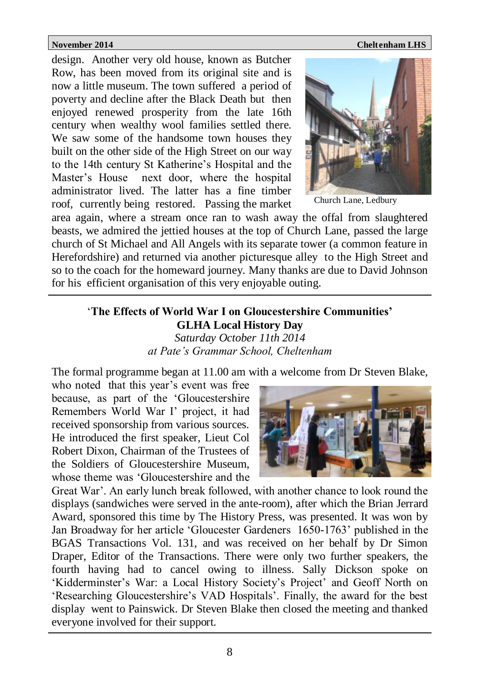**November 2014** Cheltenham LHS

design. Another very old house, known as Butcher Row, has been moved from its original site and is now a little museum. The town suffered a period of poverty and decline after the Black Death but then enjoyed renewed prosperity from the late 16th century when wealthy wool families settled there. We saw some of the handsome town houses they built on the other side of the High Street on our way to the 14th century St Katherine's Hospital and the Master's House next door, where the hospital administrator lived. The latter has a fine timber roof, currently being restored. Passing the market



Church Lane, Ledbury

area again, where a stream once ran to wash away the offal from slaughtered beasts, we admired the jettied houses at the top of Church Lane, passed the large church of St Michael and All Angels with its separate tower (a common feature in Herefordshire) and returned via another picturesque alley to the High Street and so to the coach for the homeward journey. Many thanks are due to David Johnson for his efficient organisation of this very enjoyable outing.

### '**The Effects of World War I on Gloucestershire Communities' GLHA Local History Day** *Saturday October 11th 2014 at Pate's Grammar School, Cheltenham*

The formal programme began at 11.00 am with a welcome from Dr Steven Blake,

who noted that this year's event was free because, as part of the 'Gloucestershire Remembers World War I' project, it had received sponsorship from various sources. He introduced the first speaker, Lieut Col Robert Dixon, Chairman of the Trustees of the Soldiers of Gloucestershire Museum, whose theme was 'Gloucestershire and the



Great War'. An early lunch break followed, with another chance to look round the displays (sandwiches were served in the ante-room), after which the Brian Jerrard Award, sponsored this time by The History Press, was presented. It was won by Jan Broadway for her article 'Gloucester Gardeners 1650-1763' published in the BGAS Transactions Vol. 131, and was received on her behalf by Dr Simon Draper, Editor of the Transactions. There were only two further speakers, the fourth having had to cancel owing to illness. Sally Dickson spoke on 'Kidderminster's War: a Local History Society's Project' and Geoff North on 'Researching Gloucestershire's VAD Hospitals'. Finally, the award for the best display went to Painswick. Dr Steven Blake then closed the meeting and thanked everyone involved for their support.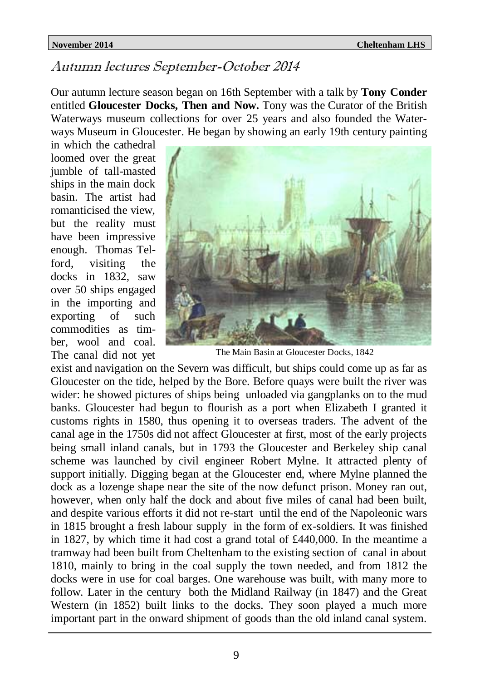# Autumn lectures September-October 2014

Our autumn lecture season began on 16th September with a talk by **Tony Conder**  entitled **Gloucester Docks, Then and Now.** Tony was the Curator of the British Waterways museum collections for over 25 years and also founded the Waterways Museum in Gloucester. He began by showing an early 19th century painting

in which the cathedral loomed over the great jumble of tall-masted ships in the main dock basin. The artist had romanticised the view, but the reality must have been impressive enough. Thomas Telford, visiting the docks in 1832, saw over 50 ships engaged in the importing and exporting of such commodities as timber, wool and coal. The canal did not yet



The Main Basin at Gloucester Docks, 1842

exist and navigation on the Severn was difficult, but ships could come up as far as Gloucester on the tide, helped by the Bore. Before quays were built the river was wider: he showed pictures of ships being unloaded via gangplanks on to the mud banks. Gloucester had begun to flourish as a port when Elizabeth I granted it customs rights in 1580, thus opening it to overseas traders. The advent of the canal age in the 1750s did not affect Gloucester at first, most of the early projects being small inland canals, but in 1793 the Gloucester and Berkeley ship canal scheme was launched by civil engineer Robert Mylne. It attracted plenty of support initially. Digging began at the Gloucester end, where Mylne planned the dock as a lozenge shape near the site of the now defunct prison. Money ran out, however, when only half the dock and about five miles of canal had been built, and despite various efforts it did not re-start until the end of the Napoleonic wars in 1815 brought a fresh labour supply in the form of ex-soldiers. It was finished in 1827, by which time it had cost a grand total of £440,000. In the meantime a tramway had been built from Cheltenham to the existing section of canal in about 1810, mainly to bring in the coal supply the town needed, and from 1812 the docks were in use for coal barges. One warehouse was built, with many more to follow. Later in the century both the Midland Railway (in 1847) and the Great Western (in 1852) built links to the docks. They soon played a much more important part in the onward shipment of goods than the old inland canal system.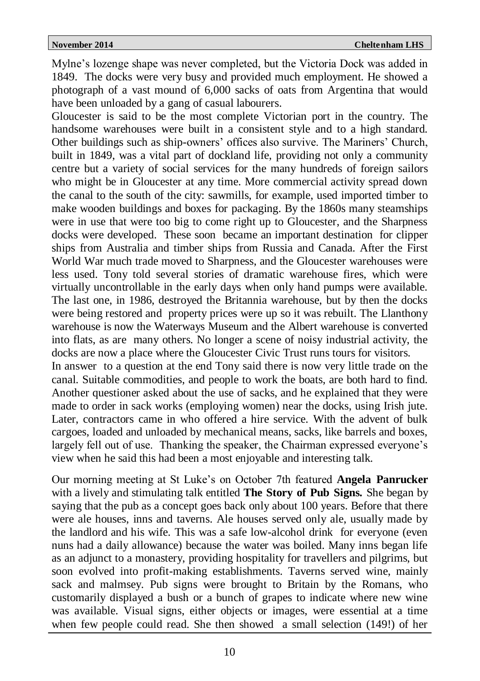Mylne's lozenge shape was never completed, but the Victoria Dock was added in 1849. The docks were very busy and provided much employment. He showed a photograph of a vast mound of 6,000 sacks of oats from Argentina that would have been unloaded by a gang of casual labourers.

Gloucester is said to be the most complete Victorian port in the country. The handsome warehouses were built in a consistent style and to a high standard. Other buildings such as ship-owners' offices also survive. The Mariners' Church, built in 1849, was a vital part of dockland life, providing not only a community centre but a variety of social services for the many hundreds of foreign sailors who might be in Gloucester at any time. More commercial activity spread down the canal to the south of the city: sawmills, for example, used imported timber to make wooden buildings and boxes for packaging. By the 1860s many steamships were in use that were too big to come right up to Gloucester, and the Sharpness docks were developed. These soon became an important destination for clipper ships from Australia and timber ships from Russia and Canada. After the First World War much trade moved to Sharpness, and the Gloucester warehouses were less used. Tony told several stories of dramatic warehouse fires, which were virtually uncontrollable in the early days when only hand pumps were available. The last one, in 1986, destroyed the Britannia warehouse, but by then the docks were being restored and property prices were up so it was rebuilt. The Llanthony warehouse is now the Waterways Museum and the Albert warehouse is converted into flats, as are many others. No longer a scene of noisy industrial activity, the docks are now a place where the Gloucester Civic Trust runs tours for visitors.

In answer to a question at the end Tony said there is now very little trade on the canal. Suitable commodities, and people to work the boats, are both hard to find. Another questioner asked about the use of sacks, and he explained that they were made to order in sack works (employing women) near the docks, using Irish jute. Later, contractors came in who offered a hire service. With the advent of bulk cargoes, loaded and unloaded by mechanical means, sacks, like barrels and boxes, largely fell out of use. Thanking the speaker, the Chairman expressed everyone's view when he said this had been a most enjoyable and interesting talk.

Our morning meeting at St Luke's on October 7th featured **Angela Panrucker**  with a lively and stimulating talk entitled **The Story of Pub Signs.** She began by saying that the pub as a concept goes back only about 100 years. Before that there were ale houses, inns and taverns. Ale houses served only ale, usually made by the landlord and his wife. This was a safe low-alcohol drink for everyone (even nuns had a daily allowance) because the water was boiled. Many inns began life as an adjunct to a monastery, providing hospitality for travellers and pilgrims, but soon evolved into profit-making establishments. Taverns served wine, mainly sack and malmsey. Pub signs were brought to Britain by the Romans, who customarily displayed a bush or a bunch of grapes to indicate where new wine was available. Visual signs, either objects or images, were essential at a time when few people could read. She then showed a small selection (149!) of her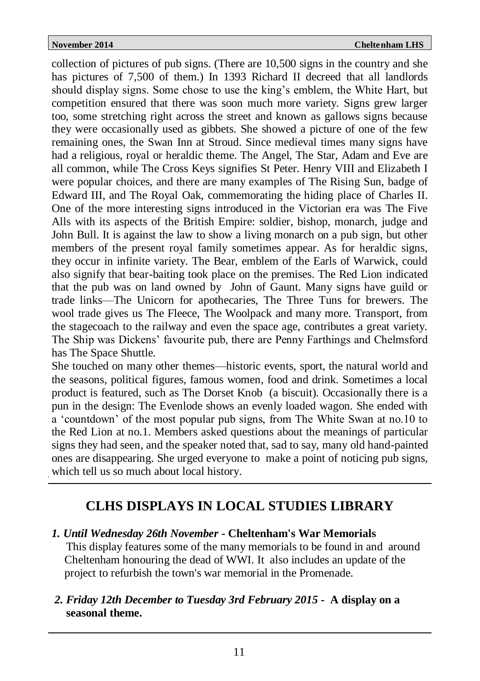collection of pictures of pub signs. (There are 10,500 signs in the country and she has pictures of 7,500 of them.) In 1393 Richard II decreed that all landlords should display signs. Some chose to use the king's emblem, the White Hart, but competition ensured that there was soon much more variety. Signs grew larger too, some stretching right across the street and known as gallows signs because they were occasionally used as gibbets. She showed a picture of one of the few remaining ones, the Swan Inn at Stroud. Since medieval times many signs have had a religious, royal or heraldic theme. The Angel, The Star, Adam and Eve are all common, while The Cross Keys signifies St Peter. Henry VIII and Elizabeth I were popular choices, and there are many examples of The Rising Sun, badge of Edward III, and The Royal Oak, commemorating the hiding place of Charles II. One of the more interesting signs introduced in the Victorian era was The Five Alls with its aspects of the British Empire: soldier, bishop, monarch, judge and John Bull. It is against the law to show a living monarch on a pub sign, but other members of the present royal family sometimes appear. As for heraldic signs, they occur in infinite variety. The Bear, emblem of the Earls of Warwick, could also signify that bear-baiting took place on the premises. The Red Lion indicated that the pub was on land owned by John of Gaunt. Many signs have guild or trade links—The Unicorn for apothecaries, The Three Tuns for brewers. The wool trade gives us The Fleece, The Woolpack and many more. Transport, from the stagecoach to the railway and even the space age, contributes a great variety. The Ship was Dickens' favourite pub, there are Penny Farthings and Chelmsford has The Space Shuttle.

She touched on many other themes—historic events, sport, the natural world and the seasons, political figures, famous women, food and drink. Sometimes a local product is featured, such as The Dorset Knob (a biscuit). Occasionally there is a pun in the design: The Evenlode shows an evenly loaded wagon. She ended with a 'countdown' of the most popular pub signs, from The White Swan at no.10 to the Red Lion at no.1. Members asked questions about the meanings of particular signs they had seen, and the speaker noted that, sad to say, many old hand-painted ones are disappearing. She urged everyone to make a point of noticing pub signs, which tell us so much about local history.

# **CLHS DISPLAYS IN LOCAL STUDIES LIBRARY**

*1. Until Wednesday 26th November -* **Cheltenham's War Memorials**

 This display features some of the many memorials to be found in and around Cheltenham honouring the dead of WWI. It also includes an update of the project to refurbish the town's war memorial in the Promenade.

*2. Friday 12th December to Tuesday 3rd February 2015 -* **A display on a seasonal theme.**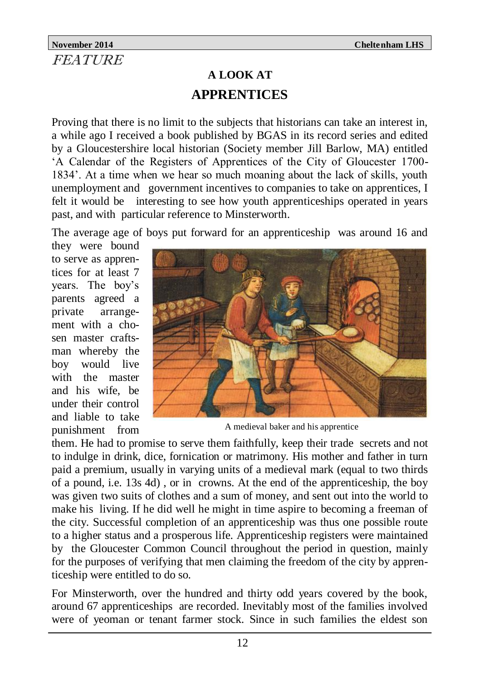# **November 2014** Cheltenham LHS **FEATURE**

# **A LOOK AT APPRENTICES**

Proving that there is no limit to the subjects that historians can take an interest in, a while ago I received a book published by BGAS in its record series and edited by a Gloucestershire local historian (Society member Jill Barlow, MA) entitled 'A Calendar of the Registers of Apprentices of the City of Gloucester 1700- 1834'. At a time when we hear so much moaning about the lack of skills, youth unemployment and government incentives to companies to take on apprentices, I felt it would be interesting to see how youth apprenticeships operated in years past, and with particular reference to Minsterworth.

The average age of boys put forward for an apprenticeship was around 16 and

they were bound to serve as apprentices for at least 7 years. The boy's parents agreed a private arrangement with a chosen master craftsman whereby the boy would live with the master and his wife, be under their control and liable to take punishment from



A medieval baker and his apprentice

them. He had to promise to serve them faithfully, keep their trade secrets and not to indulge in drink, dice, fornication or matrimony. His mother and father in turn paid a premium, usually in varying units of a medieval mark (equal to two thirds of a pound, i.e. 13s 4d) , or in crowns. At the end of the apprenticeship, the boy was given two suits of clothes and a sum of money, and sent out into the world to make his living. If he did well he might in time aspire to becoming a freeman of the city. Successful completion of an apprenticeship was thus one possible route to a higher status and a prosperous life. Apprenticeship registers were maintained by the Gloucester Common Council throughout the period in question, mainly for the purposes of verifying that men claiming the freedom of the city by apprenticeship were entitled to do so.

For Minsterworth, over the hundred and thirty odd years covered by the book, around 67 apprenticeships are recorded. Inevitably most of the families involved were of yeoman or tenant farmer stock. Since in such families the eldest son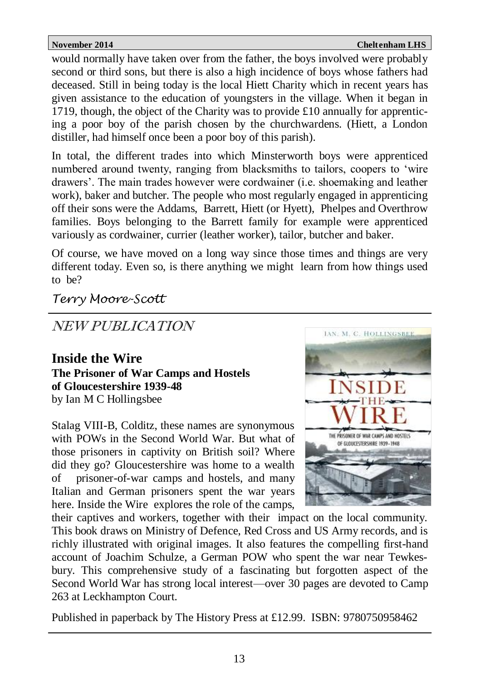would normally have taken over from the father, the boys involved were probably second or third sons, but there is also a high incidence of boys whose fathers had deceased. Still in being today is the local Hiett Charity which in recent years has given assistance to the education of youngsters in the village. When it began in 1719, though, the object of the Charity was to provide £10 annually for apprenticing a poor boy of the parish chosen by the churchwardens. (Hiett, a London distiller, had himself once been a poor boy of this parish).

In total, the different trades into which Minsterworth boys were apprenticed numbered around twenty, ranging from blacksmiths to tailors, coopers to 'wire drawers'. The main trades however were cordwainer (i.e. shoemaking and leather work), baker and butcher. The people who most regularly engaged in apprenticing off their sons were the Addams, Barrett, Hiett (or Hyett), Phelpes and Overthrow families. Boys belonging to the Barrett family for example were apprenticed variously as cordwainer, currier (leather worker), tailor, butcher and baker.

Of course, we have moved on a long way since those times and things are very different today. Even so, is there anything we might learn from how things used to be?

*Terry Moore-Scott*

NEW PUBLICATION

**Inside the Wire The Prisoner of War Camps and Hostels of Gloucestershire 1939-48** by Ian M C Hollingsbee

Stalag VIII-B, Colditz, these names are synonymous with POWs in the Second World War. But what of those prisoners in captivity on British soil? Where did they go? Gloucestershire was home to a wealth of prisoner-of-war camps and hostels, and many Italian and German prisoners spent the war years here. Inside the Wire explores the role of the camps,



their captives and workers, together with their impact on the local community. This book draws on Ministry of Defence, Red Cross and US Army records, and is richly illustrated with original images. It also features the compelling first-hand account of Joachim Schulze, a German POW who spent the war near Tewkesbury. This comprehensive study of a fascinating but forgotten aspect of the Second World War has strong local interest—over 30 pages are devoted to Camp 263 at Leckhampton Court.

Published in paperback by The History Press at £12.99. ISBN: 9780750958462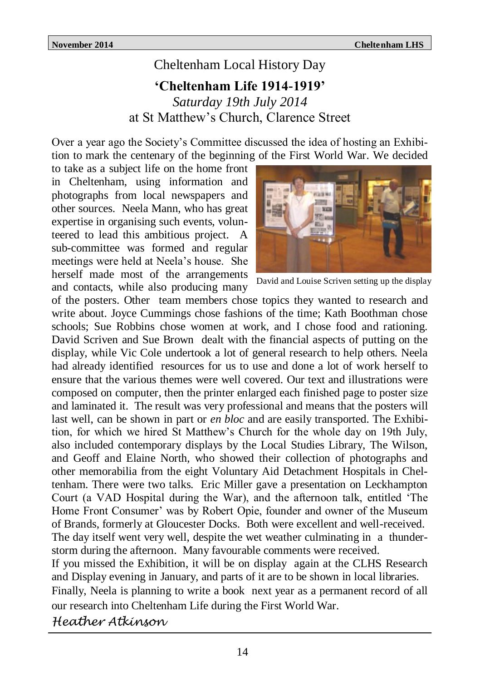# Cheltenham Local History Day **'Cheltenham Life 1914-1919'** *Saturday 19th July 2014* at St Matthew's Church, Clarence Street

Over a year ago the Society's Committee discussed the idea of hosting an Exhibition to mark the centenary of the beginning of the First World War. We decided

to take as a subject life on the home front in Cheltenham, using information and photographs from local newspapers and other sources. Neela Mann, who has great expertise in organising such events, volunteered to lead this ambitious project. A sub-committee was formed and regular meetings were held at Neela's house. She herself made most of the arrangements and contacts, while also producing many



David and Louise Scriven setting up the display

of the posters. Other team members chose topics they wanted to research and write about. Joyce Cummings chose fashions of the time; Kath Boothman chose schools; Sue Robbins chose women at work, and I chose food and rationing. David Scriven and Sue Brown dealt with the financial aspects of putting on the display, while Vic Cole undertook a lot of general research to help others. Neela had already identified resources for us to use and done a lot of work herself to ensure that the various themes were well covered. Our text and illustrations were composed on computer, then the printer enlarged each finished page to poster size and laminated it. The result was very professional and means that the posters will last well, can be shown in part or *en bloc* and are easily transported. The Exhibition, for which we hired St Matthew's Church for the whole day on 19th July, also included contemporary displays by the Local Studies Library, The Wilson, and Geoff and Elaine North, who showed their collection of photographs and other memorabilia from the eight Voluntary Aid Detachment Hospitals in Cheltenham. There were two talks. Eric Miller gave a presentation on Leckhampton Court (a VAD Hospital during the War), and the afternoon talk, entitled 'The Home Front Consumer' was by Robert Opie, founder and owner of the Museum of Brands, formerly at Gloucester Docks. Both were excellent and well-received. The day itself went very well, despite the wet weather culminating in a thunderstorm during the afternoon. Many favourable comments were received. If you missed the Exhibition, it will be on display again at the CLHS Research and Display evening in January, and parts of it are to be shown in local libraries.

Finally, Neela is planning to write a book next year as a permanent record of all our research into Cheltenham Life during the First World War.

*Heather Atkinson*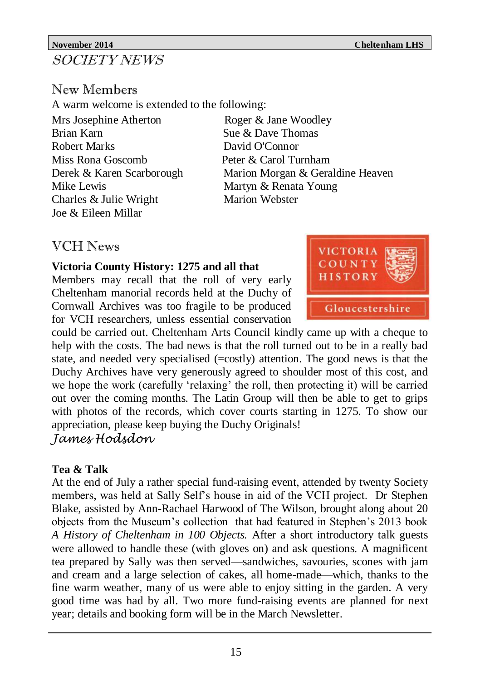# **November 2014** Cheltenham LHS SOCIETY NEWS

# New Members

A warm welcome is extended to the following:

Mrs Josephine Atherton Roger & Jane Woodley Brian Karn Sue & Dave Thomas Robert Marks David O'Connor Miss Rona Goscomb Peter & Carol Turnham Mike Lewis Martyn & Renata Young Charles & Julie Wright Marion Webster Joe & Eileen Millar

Derek & Karen Scarborough Marion Morgan & Geraldine Heaven

# VCH News

### **Victoria County History: 1275 and all that**

Members may recall that the roll of very early Cheltenham manorial records held at the Duchy of Cornwall Archives was too fragile to be produced for VCH researchers, unless essential conservation



could be carried out. Cheltenham Arts Council kindly came up with a cheque to help with the costs. The bad news is that the roll turned out to be in a really bad state, and needed very specialised  $(=costly)$  attention. The good news is that the Duchy Archives have very generously agreed to shoulder most of this cost, and we hope the work (carefully 'relaxing' the roll, then protecting it) will be carried out over the coming months. The Latin Group will then be able to get to grips with photos of the records, which cover courts starting in 1275. To show our appreciation, please keep buying the Duchy Originals!

# *James Hodsdon*

# **Tea & Talk**

At the end of July a rather special fund-raising event, attended by twenty Society members, was held at Sally Self's house in aid of the VCH project. Dr Stephen Blake, assisted by Ann-Rachael Harwood of The Wilson, brought along about 20 objects from the Museum's collection that had featured in Stephen's 2013 book *A History of Cheltenham in 100 Objects.* After a short introductory talk guests were allowed to handle these (with gloves on) and ask questions. A magnificent tea prepared by Sally was then served—sandwiches, savouries, scones with jam and cream and a large selection of cakes, all home-made—which, thanks to the fine warm weather, many of us were able to enjoy sitting in the garden. A very good time was had by all. Two more fund-raising events are planned for next year; details and booking form will be in the March Newsletter.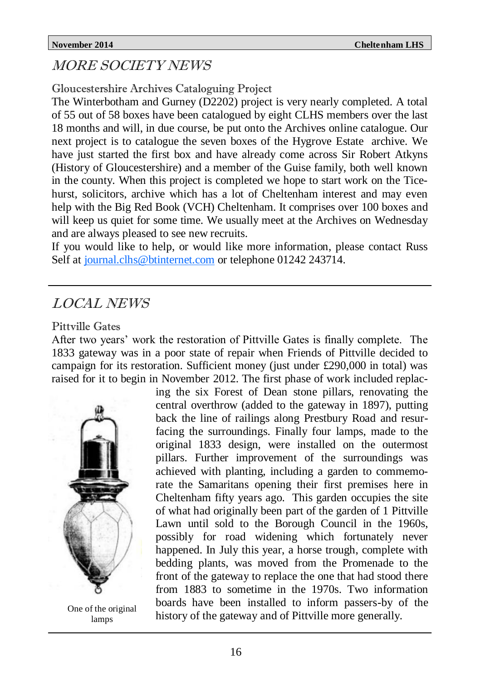# MORE SOCIETY NEWS

# Gloucestershire Archives Cataloguing Project

The Winterbotham and Gurney (D2202) project is very nearly completed. A total of 55 out of 58 boxes have been catalogued by eight CLHS members over the last 18 months and will, in due course, be put onto the Archives online catalogue. Our next project is to catalogue the seven boxes of the Hygrove Estate archive. We have just started the first box and have already come across Sir Robert Atkyns (History of Gloucestershire) and a member of the Guise family, both well known in the county. When this project is completed we hope to start work on the Ticehurst, solicitors, archive which has a lot of Cheltenham interest and may even help with the Big Red Book (VCH) Cheltenham. It comprises over 100 boxes and will keep us quiet for some time. We usually meet at the Archives on Wednesday and are always pleased to see new recruits.

If you would like to help, or would like more information, please contact Russ Self at [journal.clhs@btinternet.com](mailto:journal.clhs@btinternet.com) or telephone 01242 243714.

# LOCAL NEWS

### Pittville Gates

After two years' work the restoration of Pittville Gates is finally complete. The 1833 gateway was in a poor state of repair when Friends of Pittville decided to campaign for its restoration. Sufficient money (just under £290,000 in total) was raised for it to begin in November 2012. The first phase of work included replac-



One of the original lamps

ing the six Forest of Dean stone pillars, renovating the central overthrow (added to the gateway in 1897), putting back the line of railings along Prestbury Road and resurfacing the surroundings. Finally four lamps, made to the original 1833 design, were installed on the outermost pillars. Further improvement of the surroundings was achieved with planting, including a garden to commemorate the Samaritans opening their first premises here in Cheltenham fifty years ago. This garden occupies the site of what had originally been part of the garden of 1 Pittville Lawn until sold to the Borough Council in the 1960s, possibly for road widening which fortunately never happened. In July this year, a horse trough, complete with bedding plants, was moved from the Promenade to the front of the gateway to replace the one that had stood there from 1883 to sometime in the 1970s. Two information boards have been installed to inform passers-by of the history of the gateway and of Pittville more generally.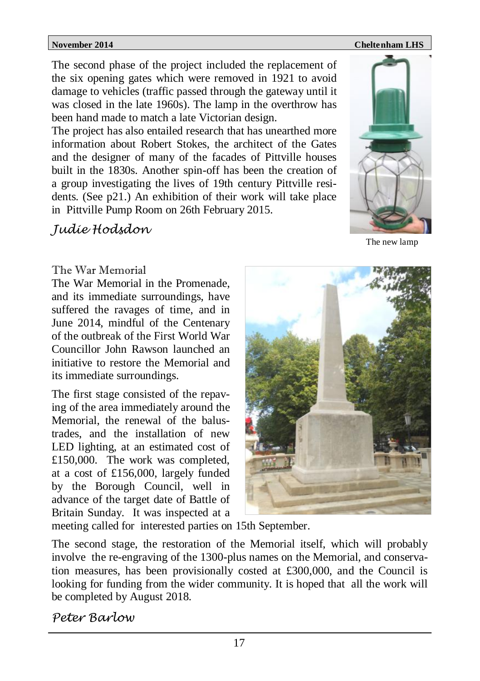### **November 2014** Cheltenham LHS

The second phase of the project included the replacement of the six opening gates which were removed in 1921 to avoid damage to vehicles (traffic passed through the gateway until it was closed in the late 1960s). The lamp in the overthrow has been hand made to match a late Victorian design.

The project has also entailed research that has unearthed more information about Robert Stokes, the architect of the Gates and the designer of many of the facades of Pittville houses built in the 1830s. Another spin-off has been the creation of a group investigating the lives of 19th century Pittville residents. (See p21.) An exhibition of their work will take place in Pittville Pump Room on 26th February 2015.

# *Judie Hodsdon*



The new lamp

### The War Memorial

The War Memorial in the Promenade, and its immediate surroundings, have suffered the ravages of time, and in June 2014, mindful of the Centenary of the outbreak of the First World War Councillor John Rawson launched an initiative to restore the Memorial and its immediate surroundings.

The first stage consisted of the repaving of the area immediately around the Memorial, the renewal of the balustrades, and the installation of new LED lighting, at an estimated cost of £150,000. The work was completed, at a cost of £156,000, largely funded by the Borough Council, well in advance of the target date of Battle of Britain Sunday. It was inspected at a



meeting called for interested parties on 15th September.

The second stage, the restoration of the Memorial itself, which will probably involve the re-engraving of the 1300-plus names on the Memorial, and conservation measures, has been provisionally costed at £300,000, and the Council is looking for funding from the wider community. It is hoped that all the work will be completed by August 2018.

*Peter Barlow*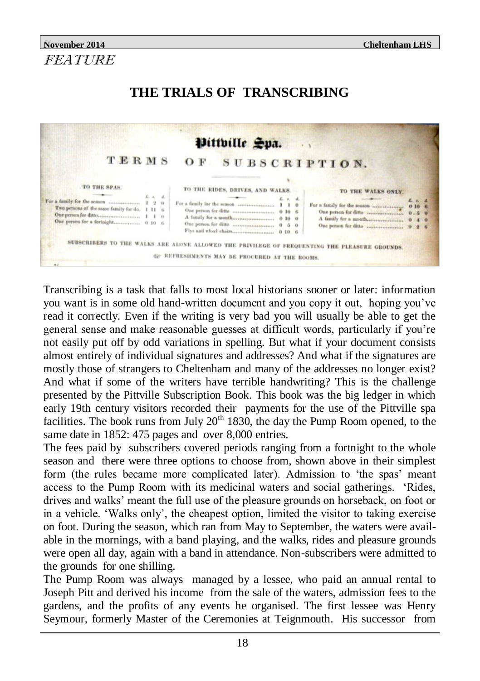# **November 2014 Cheltenham LHS** FEATURE

# **THE TRIALS OF TRANSCRIBING**



Transcribing is a task that falls to most local historians sooner or later: information you want is in some old hand-written document and you copy it out, hoping you've read it correctly. Even if the writing is very bad you will usually be able to get the general sense and make reasonable guesses at difficult words, particularly if you're not easily put off by odd variations in spelling. But what if your document consists almost entirely of individual signatures and addresses? And what if the signatures are mostly those of strangers to Cheltenham and many of the addresses no longer exist? And what if some of the writers have terrible handwriting? This is the challenge presented by the Pittville Subscription Book. This book was the big ledger in which early 19th century visitors recorded their payments for the use of the Pittville spa facilities. The book runs from July  $20<sup>th</sup> 1830$ , the day the Pump Room opened, to the same date in 1852: 475 pages and over 8,000 entries.

The fees paid by subscribers covered periods ranging from a fortnight to the whole season and there were three options to choose from, shown above in their simplest form (the rules became more complicated later). Admission to 'the spas' meant access to the Pump Room with its medicinal waters and social gatherings. 'Rides, drives and walks' meant the full use of the pleasure grounds on horseback, on foot or in a vehicle. 'Walks only', the cheapest option, limited the visitor to taking exercise on foot. During the season, which ran from May to September, the waters were available in the mornings, with a band playing, and the walks, rides and pleasure grounds were open all day, again with a band in attendance. Non-subscribers were admitted to the grounds for one shilling.

The Pump Room was always managed by a lessee, who paid an annual rental to Joseph Pitt and derived his income from the sale of the waters, admission fees to the gardens, and the profits of any events he organised. The first lessee was Henry Seymour, formerly Master of the Ceremonies at Teignmouth. His successor from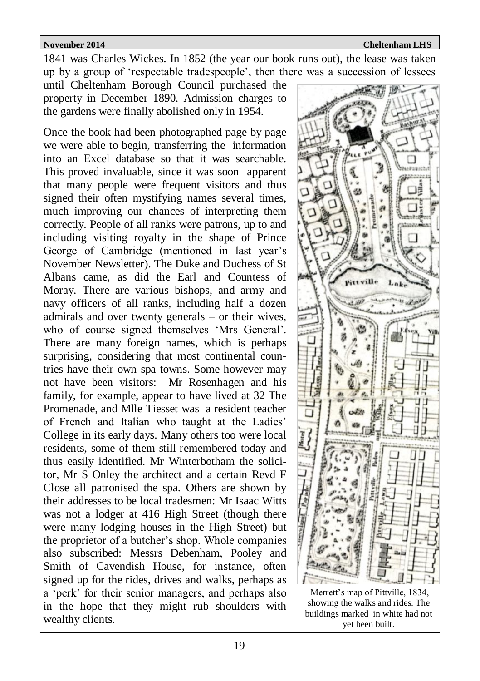**November 2014** Cheltenham LHS

1841 was Charles Wickes. In 1852 (the year our book runs out), the lease was taken up by a group of 'respectable tradespeople', then there was a succession of lessees

until Cheltenham Borough Council purchased the property in December 1890. Admission charges to the gardens were finally abolished only in 1954.

Once the book had been photographed page by page we were able to begin, transferring the information into an Excel database so that it was searchable. This proved invaluable, since it was soon apparent that many people were frequent visitors and thus signed their often mystifying names several times, much improving our chances of interpreting them correctly. People of all ranks were patrons, up to and including visiting royalty in the shape of Prince George of Cambridge (mentioned in last year's November Newsletter). The Duke and Duchess of St Albans came, as did the Earl and Countess of Moray. There are various bishops, and army and navy officers of all ranks, including half a dozen admirals and over twenty generals – or their wives, who of course signed themselves 'Mrs General'. There are many foreign names, which is perhaps surprising, considering that most continental countries have their own spa towns. Some however may not have been visitors: Mr Rosenhagen and his family, for example, appear to have lived at 32 The Promenade, and Mlle Tiesset was a resident teacher of French and Italian who taught at the Ladies' College in its early days. Many others too were local residents, some of them still remembered today and thus easily identified. Mr Winterbotham the solicitor, Mr S Onley the architect and a certain Revd F Close all patronised the spa. Others are shown by their addresses to be local tradesmen: Mr Isaac Witts was not a lodger at 416 High Street (though there were many lodging houses in the High Street) but the proprietor of a butcher's shop. Whole companies also subscribed: Messrs Debenham, Pooley and Smith of Cavendish House, for instance, often signed up for the rides, drives and walks, perhaps as a 'perk' for their senior managers, and perhaps also in the hope that they might rub shoulders with wealthy clients.



Merrett's map of Pittville, 1834, showing the walks and rides. The buildings marked in white had not yet been built.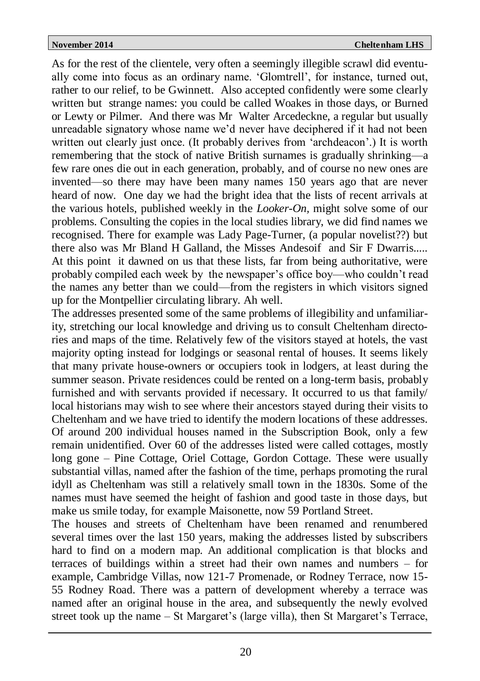As for the rest of the clientele, very often a seemingly illegible scrawl did eventually come into focus as an ordinary name. 'Glomtrell', for instance, turned out, rather to our relief, to be Gwinnett. Also accepted confidently were some clearly written but strange names: you could be called Woakes in those days, or Burned or Lewty or Pilmer. And there was Mr Walter Arcedeckne, a regular but usually unreadable signatory whose name we'd never have deciphered if it had not been written out clearly just once. (It probably derives from 'archdeacon'.) It is worth remembering that the stock of native British surnames is gradually shrinking—a few rare ones die out in each generation, probably, and of course no new ones are invented—so there may have been many names 150 years ago that are never heard of now. One day we had the bright idea that the lists of recent arrivals at the various hotels, published weekly in the *Looker-On,* might solve some of our problems. Consulting the copies in the local studies library, we did find names we recognised. There for example was Lady Page-Turner, (a popular novelist??) but there also was Mr Bland H Galland, the Misses Andesoif and Sir F Dwarris..... At this point it dawned on us that these lists, far from being authoritative, were probably compiled each week by the newspaper's office boy—who couldn't read the names any better than we could—from the registers in which visitors signed up for the Montpellier circulating library. Ah well.

The addresses presented some of the same problems of illegibility and unfamiliarity, stretching our local knowledge and driving us to consult Cheltenham directories and maps of the time. Relatively few of the visitors stayed at hotels, the vast majority opting instead for lodgings or seasonal rental of houses. It seems likely that many private house-owners or occupiers took in lodgers, at least during the summer season. Private residences could be rented on a long-term basis, probably furnished and with servants provided if necessary. It occurred to us that family/ local historians may wish to see where their ancestors stayed during their visits to Cheltenham and we have tried to identify the modern locations of these addresses. Of around 200 individual houses named in the Subscription Book, only a few remain unidentified. Over 60 of the addresses listed were called cottages, mostly long gone – Pine Cottage, Oriel Cottage, Gordon Cottage. These were usually substantial villas, named after the fashion of the time, perhaps promoting the rural idyll as Cheltenham was still a relatively small town in the 1830s. Some of the names must have seemed the height of fashion and good taste in those days, but make us smile today, for example Maisonette, now 59 Portland Street.

The houses and streets of Cheltenham have been renamed and renumbered several times over the last 150 years, making the addresses listed by subscribers hard to find on a modern map. An additional complication is that blocks and terraces of buildings within a street had their own names and numbers – for example, Cambridge Villas, now 121-7 Promenade, or Rodney Terrace, now 15- 55 Rodney Road. There was a pattern of development whereby a terrace was named after an original house in the area, and subsequently the newly evolved street took up the name – St Margaret's (large villa), then St Margaret's Terrace,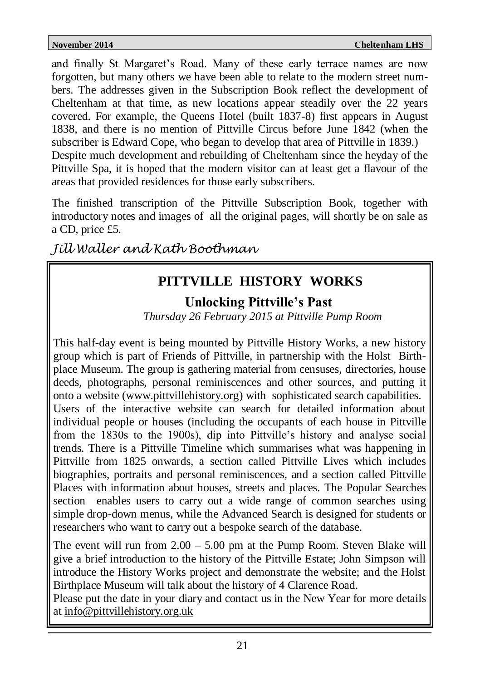and finally St Margaret's Road. Many of these early terrace names are now forgotten, but many others we have been able to relate to the modern street numbers. The addresses given in the Subscription Book reflect the development of Cheltenham at that time, as new locations appear steadily over the 22 years covered. For example, the Queens Hotel (built 1837-8) first appears in August 1838, and there is no mention of Pittville Circus before June 1842 (when the subscriber is Edward Cope, who began to develop that area of Pittville in 1839.) Despite much development and rebuilding of Cheltenham since the heyday of the Pittville Spa, it is hoped that the modern visitor can at least get a flavour of the areas that provided residences for those early subscribers.

The finished transcription of the Pittville Subscription Book, together with introductory notes and images of all the original pages, will shortly be on sale as a CD, price £5.

*Jill Waller and Kath Boothman*

# **PITTVILLE HISTORY WORKS**

# **Unlocking Pittville's Past**

 *Thursday 26 February 2015 at Pittville Pump Room* 

This half-day event is being mounted by Pittville History Works, a new history group which is part of Friends of Pittville, in partnership with the Holst Birthplace Museum. The group is gathering material from censuses, directories, house deeds, photographs, personal reminiscences and other sources, and putting it onto a website [\(www.pittvillehistory.org\)](http://www.pittvillehistory.org) with sophisticated search capabilities. Users of the interactive website can search for detailed information about individual people or houses (including the occupants of each house in Pittville from the 1830s to the 1900s), dip into Pittville's history and analyse social trends. There is a Pittville Timeline which summarises what was happening in Pittville from 1825 onwards, a section called Pittville Lives which includes biographies, portraits and personal reminiscences, and a section called Pittville Places with information about houses, streets and places. The Popular Searches section enables users to carry out a wide range of common searches using simple drop-down menus, while the Advanced Search is designed for students or researchers who want to carry out a bespoke search of the database.

The event will run from  $2.00 - 5.00$  pm at the Pump Room. Steven Blake will give a brief introduction to the history of the Pittville Estate; John Simpson will introduce the History Works project and demonstrate the website; and the Holst Birthplace Museum will talk about the history of 4 Clarence Road.

Please put the date in your diary and contact us in the New Year for more details at [info@pittvillehistory.org.uk](mailto:info@pittvillehistory.org.uk)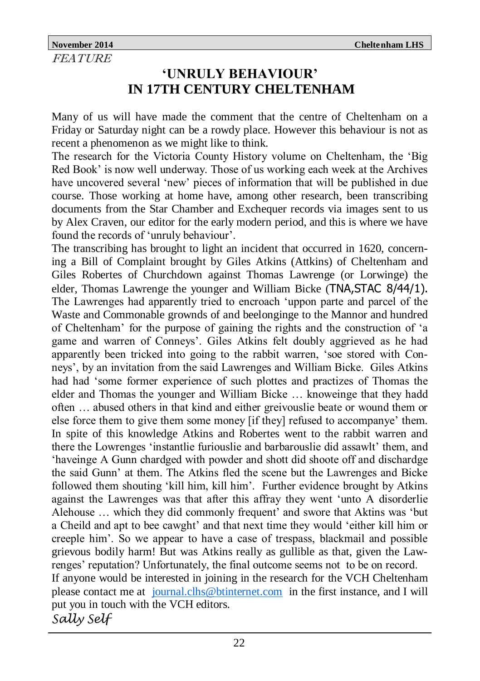# **'UNRULY BEHAVIOUR' IN 17TH CENTURY CHELTENHAM**

Many of us will have made the comment that the centre of Cheltenham on a Friday or Saturday night can be a rowdy place. However this behaviour is not as recent a phenomenon as we might like to think.

The research for the Victoria County History volume on Cheltenham, the 'Big Red Book' is now well underway. Those of us working each week at the Archives have uncovered several 'new' pieces of information that will be published in due course. Those working at home have, among other research, been transcribing documents from the Star Chamber and Exchequer records via images sent to us by Alex Craven, our editor for the early modern period, and this is where we have found the records of 'unruly behaviour'.

The transcribing has brought to light an incident that occurred in 1620, concerning a Bill of Complaint brought by Giles Atkins (Attkins) of Cheltenham and Giles Robertes of Churchdown against Thomas Lawrenge (or Lorwinge) the elder, Thomas Lawrenge the younger and William Bicke (TNA,STAC 8/44/1). The Lawrenges had apparently tried to encroach 'uppon parte and parcel of the Waste and Commonable grownds of and beelonginge to the Mannor and hundred of Cheltenham' for the purpose of gaining the rights and the construction of 'a game and warren of Conneys'. Giles Atkins felt doubly aggrieved as he had apparently been tricked into going to the rabbit warren, 'soe stored with Conneys', by an invitation from the said Lawrenges and William Bicke. Giles Atkins had had 'some former experience of such plottes and practizes of Thomas the elder and Thomas the younger and William Bicke … knoweinge that they hadd often … abused others in that kind and either greivouslie beate or wound them or else force them to give them some money [if they] refused to accompanye' them. In spite of this knowledge Atkins and Robertes went to the rabbit warren and there the Lowrenges 'instantlie furiouslie and barbarouslie did assawlt' them, and 'haveinge A Gunn chardged with powder and shott did shoote off and dischardge the said Gunn' at them. The Atkins fled the scene but the Lawrenges and Bicke followed them shouting 'kill him, kill him'. Further evidence brought by Atkins against the Lawrenges was that after this affray they went 'unto A disorderlie Alehouse … which they did commonly frequent' and swore that Aktins was 'but a Cheild and apt to bee cawght' and that next time they would 'either kill him or creeple him'. So we appear to have a case of trespass, blackmail and possible grievous bodily harm! But was Atkins really as gullible as that, given the Lawrenges' reputation? Unfortunately, the final outcome seems not to be on record. If anyone would be interested in joining in the research for the VCH Cheltenham please contact me at [journal.clhs@btinternet.com](mailto:journal.clhs@btinternet.com) in the first instance, and I will put you in touch with the VCH editors. *Sally Self*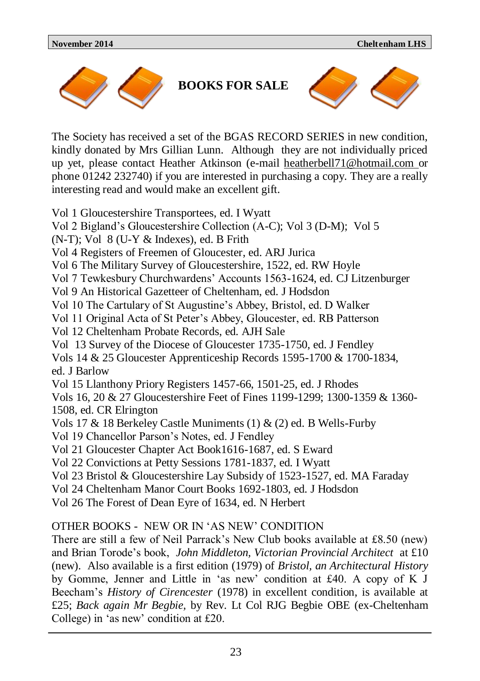

**BOOKS FOR SALE**



The Society has received a set of the BGAS RECORD SERIES in new condition, kindly donated by Mrs Gillian Lunn. Although they are not individually priced up yet, please contact Heather Atkinson (e-mail heatherbell71@hotmail.com or phone 01242 232740) if you are interested in purchasing a copy. They are a really interesting read and would make an excellent gift.

Vol 1 Gloucestershire Transportees, ed. I Wyatt Vol 2 Bigland's Gloucestershire Collection (A-C); Vol 3 (D-M); Vol 5  $(N-T)$ : Vol 8 (U-Y & Indexes), ed. B Frith Vol 4 Registers of Freemen of Gloucester, ed. ARJ Jurica Vol 6 The Military Survey of Gloucestershire, 1522, ed. RW Hoyle Vol 7 Tewkesbury Churchwardens' Accounts 1563-1624, ed. CJ Litzenburger Vol 9 An Historical Gazetteer of Cheltenham, ed. J Hodsdon Vol 10 The Cartulary of St Augustine's Abbey, Bristol, ed. D Walker Vol 11 Original Acta of St Peter's Abbey, Gloucester, ed. RB Patterson Vol 12 Cheltenham Probate Records, ed. AJH Sale Vol 13 Survey of the Diocese of Gloucester 1735-1750, ed. J Fendley Vols 14 & 25 Gloucester Apprenticeship Records 1595-1700 & 1700-1834, ed. J Barlow Vol 15 Llanthony Priory Registers 1457-66, 1501-25, ed. J Rhodes Vols 16, 20 & 27 Gloucestershire Feet of Fines 1199-1299; 1300-1359 & 1360- 1508, ed. CR Elrington Vols 17 & 18 Berkeley Castle Muniments (1) & (2) ed. B Wells-Furby Vol 19 Chancellor Parson's Notes, ed. J Fendley Vol 21 Gloucester Chapter Act Book1616-1687, ed. S Eward Vol 22 Convictions at Petty Sessions 1781-1837, ed. I Wyatt Vol 23 Bristol & Gloucestershire Lay Subsidy of 1523-1527, ed. MA Faraday Vol 24 Cheltenham Manor Court Books 1692-1803, ed. J Hodsdon Vol 26 The Forest of Dean Eyre of 1634, ed. N Herbert OTHER BOOKS - NEW OR IN 'AS NEW' CONDITION

There are still a few of Neil Parrack's New Club books available at £8.50 (new) and Brian Torode's book, *John Middleton, Victorian Provincial Architect* at £10 (new). Also available is a first edition (1979) of *Bristol, an Architectural History* by Gomme, Jenner and Little in 'as new' condition at £40. A copy of K J Beecham's *History of Cirencester* (1978) in excellent condition, is available at £25; *Back again Mr Begbie,* by Rev. Lt Col RJG Begbie OBE (ex-Cheltenham College) in 'as new' condition at £20.